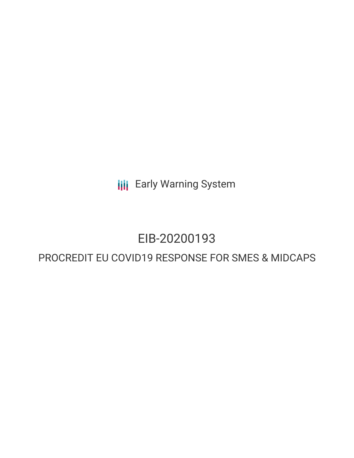**III** Early Warning System

## EIB-20200193

## PROCREDIT EU COVID19 RESPONSE FOR SMES & MIDCAPS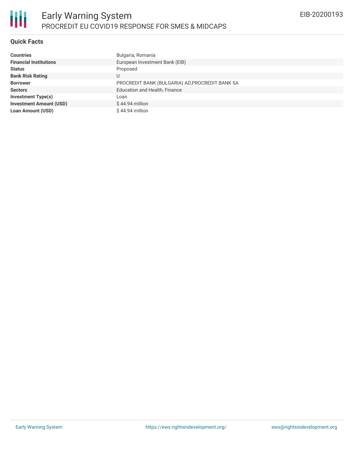#### **Quick Facts**

| <b>Countries</b>               | Bulgaria, Romania                               |
|--------------------------------|-------------------------------------------------|
| <b>Financial Institutions</b>  | European Investment Bank (EIB)                  |
| <b>Status</b>                  | Proposed                                        |
| <b>Bank Risk Rating</b>        | U                                               |
| <b>Borrower</b>                | PROCREDIT BANK (BULGARIA) AD, PROCREDIT BANK SA |
| <b>Sectors</b>                 | <b>Education and Health, Finance</b>            |
| <b>Investment Type(s)</b>      | Loan                                            |
| <b>Investment Amount (USD)</b> | $$44.94$ million                                |
| <b>Loan Amount (USD)</b>       | $$44.94$ million                                |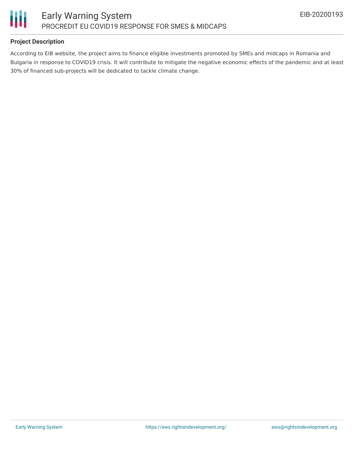

#### **Project Description**

According to EIB website, the project aims to finance eligible investments promoted by SMEs and midcaps in Romania and Bulgaria in response to COVID19 crisis. It will contribute to mitigate the negative economic effects of the pandemic and at least 30% of financed sub-projects will be dedicated to tackle climate change.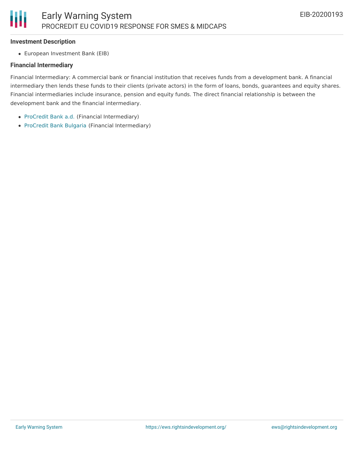#### **Investment Description**

European Investment Bank (EIB)

#### **Financial Intermediary**

Financial Intermediary: A commercial bank or financial institution that receives funds from a development bank. A financial intermediary then lends these funds to their clients (private actors) in the form of loans, bonds, guarantees and equity shares. Financial intermediaries include insurance, pension and equity funds. The direct financial relationship is between the development bank and the financial intermediary.

- [ProCredit](file:///actor/575/) Bank a.d. (Financial Intermediary)
- [ProCredit](file:///actor/178/) Bank Bulgaria (Financial Intermediary)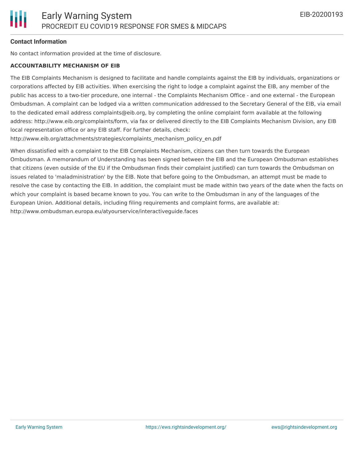#### **Contact Information**

No contact information provided at the time of disclosure.

#### **ACCOUNTABILITY MECHANISM OF EIB**

The EIB Complaints Mechanism is designed to facilitate and handle complaints against the EIB by individuals, organizations or corporations affected by EIB activities. When exercising the right to lodge a complaint against the EIB, any member of the public has access to a two-tier procedure, one internal - the Complaints Mechanism Office - and one external - the European Ombudsman. A complaint can be lodged via a written communication addressed to the Secretary General of the EIB, via email to the dedicated email address complaints@eib.org, by completing the online complaint form available at the following address: http://www.eib.org/complaints/form, via fax or delivered directly to the EIB Complaints Mechanism Division, any EIB local representation office or any EIB staff. For further details, check:

http://www.eib.org/attachments/strategies/complaints\_mechanism\_policy\_en.pdf

When dissatisfied with a complaint to the EIB Complaints Mechanism, citizens can then turn towards the European Ombudsman. A memorandum of Understanding has been signed between the EIB and the European Ombudsman establishes that citizens (even outside of the EU if the Ombudsman finds their complaint justified) can turn towards the Ombudsman on issues related to 'maladministration' by the EIB. Note that before going to the Ombudsman, an attempt must be made to resolve the case by contacting the EIB. In addition, the complaint must be made within two years of the date when the facts on which your complaint is based became known to you. You can write to the Ombudsman in any of the languages of the European Union. Additional details, including filing requirements and complaint forms, are available at: http://www.ombudsman.europa.eu/atyourservice/interactiveguide.faces